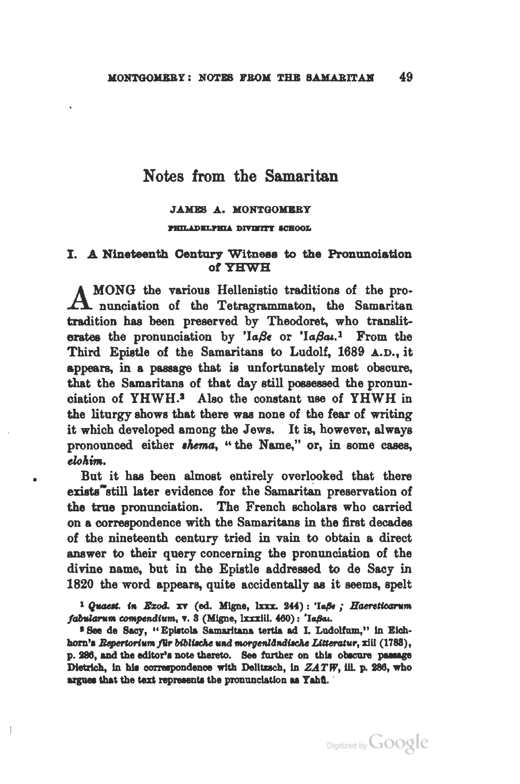## Notes from the Samaritan

## **JAMES A. MONTGOMERY**

#### PHILADELPHIA DIVINITY SCHOOL

## I. A Nineteenth Century Witness to the Pronunciation of YHWH

MONG the various Hellenistic traditions of the pro-A nunciation of the Tetragrammaton, the Samaritan tradition has been preserved by Theodoret, who transliterates the pronunciation by ' $a\beta\epsilon$  or ' $a\beta a\mu$ .' From the Third Epistle of the Samaritans to Ludolf, 1689 A.D., it appears, in a passage that is unfortunately most obscure. that the Samaritans of that day still possessed the pronunciation of YHWH.<sup>2</sup> Also the constant use of YHWH in the liturgy shows that there was none of the fear of writing it which developed among the Jews. It is, however, always pronounced either *shema*, "the Name," or, in some cases, elohim.

But it has been almost entirely overlooked that there exists<sup>7</sup>still later evidence for the Samaritan preservation of the true pronunciation. The French scholars who carried on a correspondence with the Samaritans in the first decades of the nineteenth century tried in vain to obtain a direct answer to their query concerning the pronunciation of the divine name, but in the Epistle addressed to de Sacy in 1820 the word appears, quite accidentally as it seems, spelt

<sup>1</sup> Quaest. in Exod. xv (ed. Migne, lxxx. 244): 'IaBe ; Haereticarum fabularum compendium, v. 3 (Migne, Ixxxiii. 460): 'Iaßai.

<sup>3</sup> See de Sacy, " Epistola Samaritana tertia ad I. Ludolfum," in Eichhorn's Repertorium für biblische und morgeniändische Litteratur, xiil (1783), p. 286, and the editor's note thereto. See further on this obscure passage Dietrich, in his correspondence with Delitzsch, in ZATW, iii. p. 286, who argues that the text represents the pronunciation as Yahu.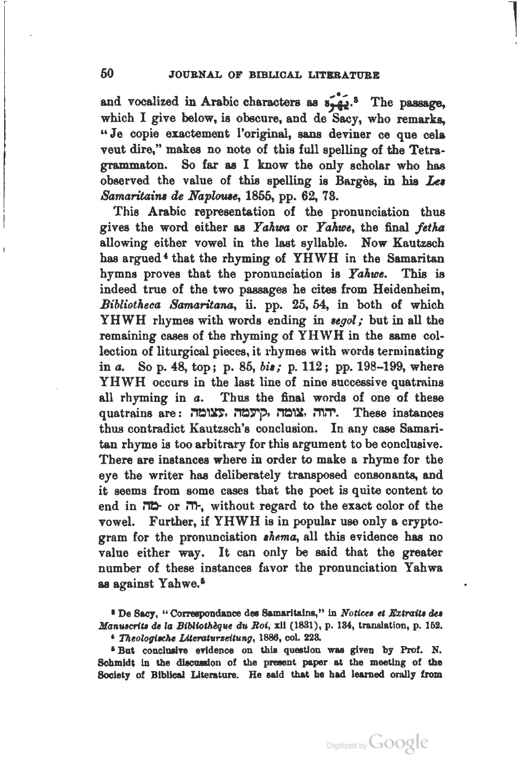$\overline{\phantom{a}}$ '

and vocalized in Arabic characters as  $s_2^2$ .<sup>8</sup> The passage, which I give below, is obscure, and de Sacy, who remarks, "Je copie exactement l'original, sans deviner ce que cela vent dire," makes no note of this full spelling of the Tetragrammaton. So far as I know the only scholar who has observed the value of this spelling is Barges, in his *Lu Samaritains de Naplouse*, 1855, pp. 62, 73.

This Arabic representation of the pronunciation thus gives the word either as *YahUia* or *Yaluoe,* the final *fetha*  allowing either vowel in the last syllable. Now Kautzsch has argued<sup>4</sup> that the rhyming of YHWH in the Samaritan hymns proves that the pronunciation is *YaAwe.* This is indeed true of the two passages he cites from Heidenheim, *BibliotAeca Samaritana,* ii. pp. 25, 64, in both of which YHWH rhymes with words ending in *Begol;* but in all the remaining cases of the rhyming of YHWH in the same collection of liturgical pieces, it rhymes with words terminating in *a.* So p. 48, top; p. 85, *bit;* p. 112 ; pp. 198-199, where YHWH occurs in the last line of nine successive quatrains all rhyming in *a.* Thus the final words of one of these quatrains are: יהוה אומה קיעמה. These instances thus contradict Kautzsch's conclusion. In any case Samaritan rhyme is too arbitrary for this argument to be conclusive. There are instances where in order to make a rhyme for the eye the writer has deliberately transposed consonants, and it seems from some cases that the poet is quite content to end in Mt)- or l'TI-, without regard to the exact color of the vowel. Further, if YHWH is in popular use only a cryptogram for the pronunciation *dema,* all this evidence has no value either way. It can only be said that the greater number of these instances favor the pronunciation Yahwa as against Yahwe.<sup>5</sup>

<sup>5</sup> But conclusive evidence on this question was given by Prof. N. Schmidt in the discussion of the present paper at the meeting of the Society of Biblical Literature. He said that he had learned orally from

<sup>&</sup>lt;sup>8</sup> De Sacy, "Correspondance des Samaritains," in *Notices et Extraits des Manuscrits de la Bibliothèque du Roi,* xil (1831), p. 134, translation, p. 152. <sup>4</sup> Theologische Literaturzeitung, 1886, col. 228.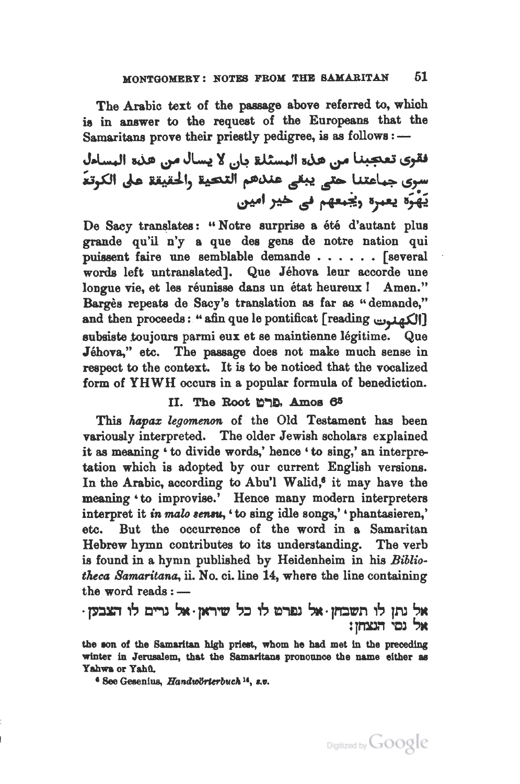The Arabic text of the passage above referred to, which is in answer to the request of the Europeans that the Samaritans prove their priestly pedigree, is as follows :-

J.Wt ~ ~ J~ ~ \;)4 v: .... n ~~ ~ 1 ·=~ ~,.u سرى جباعتنا حت<sub>ى</sub> يبق<sub>ى</sub> عندهم التحية <sub>و</sub>الحقيقة على الكرتة<br>يَهْرَه يعبره و<del>يجعهم في خير امين</del>

De Sacy translates: "Notre surprise a été d'autant plus grande qu'il n'y a que des gens de notre nation qui puissent faire une semblable demande . • . • . . [several words left untranslated]. Que Jéhova leur accorde une longue vie, et les réunisse dans un état heureux ! Amen." Bargès repeats de Sacy's translation as far as "demande," and then proceeds: "afin que le pontificat [reading  $\bigcup$ ] subsiste toujours parmi eux et se maintienne legitime. Que Jebova," etc. The passage does not make much sense in respect to the context. It is to be noticed that the vocalized form of YHWH occurs in a popular formula of benediction.

## II. The Root מרש, Amos 65

This *hapax legomenon* of the Old Testament has been variously interpreted. The older Jewish scholars explained it as meaning ' to divide words,' hence 'to sing,' an interpretation which is adopted by our current English versions. In the Arabic, according to Abu'l Walid,<sup>6</sup> it may have the meaning 'to improvise.' Hence many modern interpreters interpret it *in malo sensu*, ' to sing idle songs,' 'phantasieren,' etc. But the occurrence of the word in a Samaritan Hebrew hymn contributes to its understanding. The verb is found in a hymn published by Heidenheim in his *Bibliotheca 8amaritana,* ii. No. ci.line 14, where the line containing the word reads  $: -$ 

# אל נתן לו תשבחן · אל נפרט לו כל שיראן · אל נרים לו הצבען · אל נסי הנצחו:

the son of the Samaritan high priest, whom he had met in the preceding winter in Jerusalem, that the Samaritans pronounce the name either as Yahwa or Yahû.

<sup>6</sup> See Gesenius, Handwörterbuch<sup>14</sup>, s.v.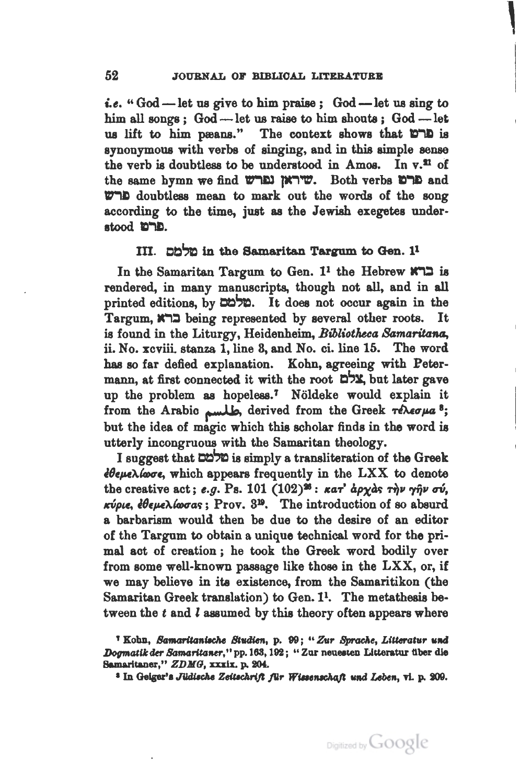|<br>|<br>|<br>|

*i.e.* "God-let us give to him praise; God-let us sing to him all songs; God --- let us raise to him shouts; God --- let us lift to him peans." The context shows that 10 is synonymous with verbs of singing, and in this simple sense the verb is doubtless to be understood in Amos. In  $v$ .<sup>21</sup> of the same hymn we find שיראן נפרש. Both verbs ברם and ~I) doubtless mean to mark out the words of the song according to the time, just as the Jewish exegetes understood **D"1D.** 

## III. Ch in the Samaritan Targum to Gen.  $1<sup>1</sup>$

In the Samaritan Targum to Gen.  $1^1$  the Hebrew  $x \rceil$  is rendered, in many manuscripts, though not all, and in all printed editions, by  $\mathbb{Z}$  $\uparrow$ . It does not occur again in the Targum, lM::l being represented by several other roots. It is found in the Liturgy, Heidenheim, *Bibliotheca Samaritana*. ii. No. xcviii. stanza 1, line 3, and No. ci. line 15. The word has so far defied explanation. Kohn, agreeing with Petermann, at first connected it with the root  $\mathbb{Z}^4$ , but later gave up the problem as hopeless.<sup>7</sup> Noldeke would explain it from the Arabic مطلسم derived from the Greek *Texerua*<sup>8</sup>; but the idea of magic which this scholar finds in the word is utterly incongruous with the Samaritan theology.

I suggest that  $\Box \Box \Box$  is simply a transliteration of the Greek *<i>dθeμελίωσε*, which appears frequently in the LXX to denote the creative act; *e.g.* Ps. 101  $(102)^{26}$ :  $\kappa a \tau'$  apy as  $\tau \eta \nu \eta' \eta \nu \sigma \nu$ , *ICtlpt.e, l8ep.e"A.taHTa.t;;* Prov. 8:18. The introduction of so absurd a barbarism would then be due to the desire of an editor of the Targum to obtain a unique technical word for the primal act of creation ; he took the Greek word bodily over from some well-known passage like those in the LXX, or, if we may believe in ita existence, from the Samaritikon (the Samaritan Greek translation) to Gen.  $1^1$ . The metathesis between the  $t$  and  $l$  assumed by this theory often appears where

<sup>&</sup>lt;sup>1</sup> Kohn, Samaritanische Studien, p. 99; " Zur Sprache, Litteratur und *Dogmatik der Samaritaner*," pp. 163, 192; "Zur neuesten Litteratur über die Samaritaner," *ZDMG*, xxxix. p. 204.<br><sup>3</sup> In Geiger's Jüdische Zeitschrift *für Wissenschaft und Leben*, vi. p. 209.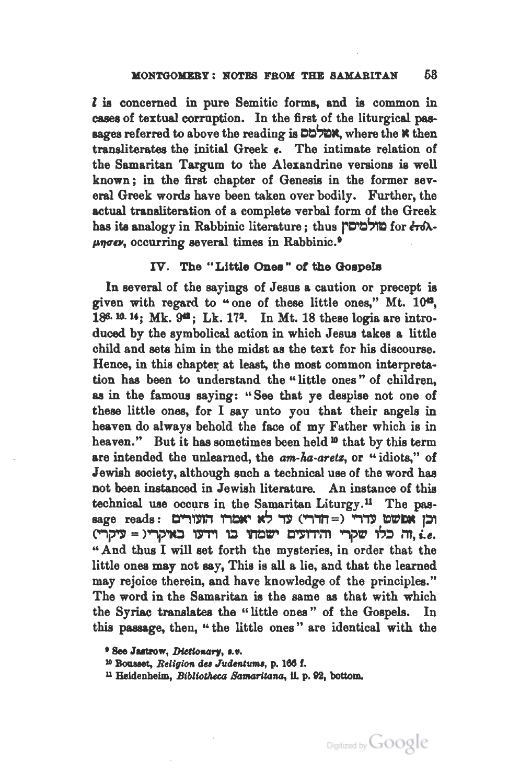l is concerned in pure Semitic forms, and is common in cases of textual corruption. In the first of the liturgical passages referred to above the reading is  $\Box \Box \Box \Box$ transliterates the initial Greek e. The intimate relation of the Samaritan Targum to the Alexandrine versions is well known ; in the first chapter of Genesis in the former several Greek words have been taken over bodily. Further, the actual transliteration of a complete verbal form of the Greek has its analogy in Rabbinic literature: thus שולמיםי  $\mu$ now, occurring several times in Rabbinic.<sup>9</sup>

## IV. The "Little Ones" *ot* the Goepele

In several of the sayings of Jesus a caution or precept is given with regard to "one of these little ones," Mt. 104, 186. 10. 14; Mk. 9<sup>42</sup>; Lk. 17<sup>2</sup>. In Mt. 18 these logia are introduced by the symbolical action in which Jesus takes a little child and sets him in the midst as the text for his discourse. Hence, in this chapter at least, the most common interpretation has been to understand the "little ones " of children, as in the famous saying: "See that ye despise not one of these little ones, for I say unto you that their angels in heaven do always behold the face of my Father which is in heaven." But it has sometimes been held <sup>10</sup> that by this term are intended the unlearned, the am-ha-aretz, or "idiots," of Jewish society, although such a technical use of the word has not been instanced in Jewish literature. An instance of this technical use occurs in the Samaritan Liturgy.<sup>11</sup> The passage reads: וכן אפשט עדרי (= חדרי) עד לא יאמרו הזעורים ,...,~ = >..-,,'10 ,.,.., 'Q mr c~,..:TI ...,i'~ ,;!) m, *i.e.*  " And thus I will set forth the mysteries, in order that the little ones may not say, This is all a lie, and that the learned may rejoice therein, and have knowledge of the principles." The word in the Samaritan is the same as that with which the Syriac translates the "little ones " of the Gospels. In this passage, then, " the little ones " are identical with the

<sup>•</sup> See Jutrow, Die«ot~arr, •·•· 10 Boaaaet, *Religioa* du *Julknturru,* p. 186 f.

<sup>&</sup>lt;sup>11</sup> Heidenheim, *Bibliotheca Samaritana*, ii. p. 92, bottom.